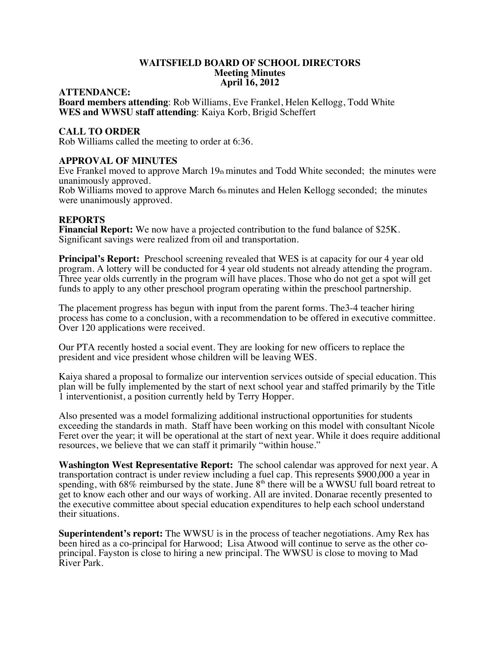## **WAITSFIELD BOARD OF SCHOOL DIRECTORS Meeting Minutes April 16, 2012**

#### **ATTENDANCE:**

**Board members attending**: Rob Williams, Eve Frankel, Helen Kellogg, Todd White **WES and WWSU staff attending**: Kaiya Korb, Brigid Scheffert

#### **CALL TO ORDER**

Rob Williams called the meeting to order at 6:36.

#### **APPROVAL OF MINUTES**

Eve Frankel moved to approve March  $19<sub>th</sub>$  minutes and Todd White seconded; the minutes were unanimously approved.

Rob Williams moved to approve March  $6<sub>th</sub>$  minutes and Helen Kellogg seconded; the minutes were unanimously approved.

#### **REPORTS**

**Financial Report:** We now have a projected contribution to the fund balance of \$25K. Significant savings were realized from oil and transportation.

**Principal's Report:** Preschool screening revealed that WES is at capacity for our 4 year old program. A lottery will be conducted for 4 year old students not already attending the program. Three year olds currently in the program will have places. Those who do not get a spot will get funds to apply to any other preschool program operating within the preschool partnership.

The placement progress has begun with input from the parent forms. The3-4 teacher hiring process has come to a conclusion, with a recommendation to be offered in executive committee. Over 120 applications were received.

Our PTA recently hosted a social event. They are looking for new officers to replace the president and vice president whose children will be leaving WES.

Kaiya shared a proposal to formalize our intervention services outside of special education. This plan will be fully implemented by the start of next school year and staffed primarily by the Title 1 interventionist, a position currently held by Terry Hopper.

Also presented was a model formalizing additional instructional opportunities for students exceeding the standards in math. Staff have been working on this model with consultant Nicole Feret over the year; it will be operational at the start of next year. While it does require additional resources, we believe that we can staff it primarily "within house."

**Washington West Representative Report:** The school calendar was approved for next year. A transportation contract is under review including a fuel cap. This represents \$900,000 a year in spending, with  $68\%$  reimbursed by the state. June  $8<sup>th</sup>$  there will be a WWSU full board retreat to get to know each other and our ways of working. All are invited. Donarae recently presented to the executive committee about special education expenditures to help each school understand their situations.

**Superintendent's report:** The WWSU is in the process of teacher negotiations. Amy Rex has been hired as a co-principal for Harwood; Lisa Atwood will continue to serve as the other coprincipal. Fayston is close to hiring a new principal. The WWSU is close to moving to Mad River Park.